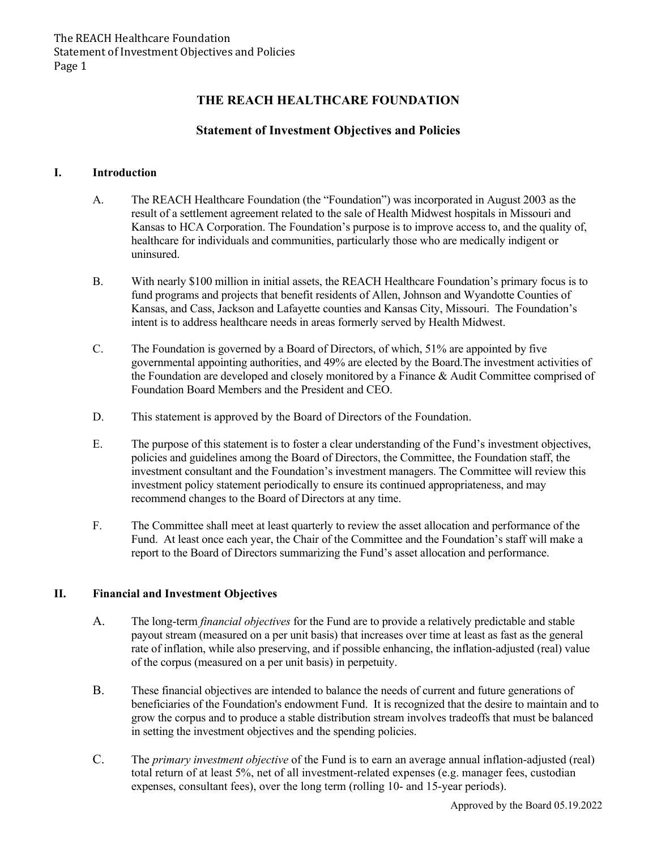# **THE REACH HEALTHCARE FOUNDATION**

# **Statement of Investment Objectives and Policies**

#### **I. Introduction**

- A. The REACH Healthcare Foundation (the "Foundation") was incorporated in August 2003 as the result of a settlement agreement related to the sale of Health Midwest hospitals in Missouri and Kansas to HCA Corporation. The Foundation's purpose is to improve access to, and the quality of, healthcare for individuals and communities, particularly those who are medically indigent or uninsured.
- B. With nearly \$100 million in initial assets, the REACH Healthcare Foundation's primary focus is to fund programs and projects that benefit residents of Allen, Johnson and Wyandotte Counties of Kansas, and Cass, Jackson and Lafayette counties and Kansas City, Missouri. The Foundation's intent is to address healthcare needs in areas formerly served by Health Midwest.
- C. The Foundation is governed by a Board of Directors, of which, 51% are appointed by five governmental appointing authorities, and 49% are elected by the Board.The investment activities of the Foundation are developed and closely monitored by a Finance & Audit Committee comprised of Foundation Board Members and the President and CEO.
- D. This statement is approved by the Board of Directors of the Foundation.
- E. The purpose of this statement is to foster a clear understanding of the Fund's investment objectives, policies and guidelines among the Board of Directors, the Committee, the Foundation staff, the investment consultant and the Foundation's investment managers. The Committee will review this investment policy statement periodically to ensure its continued appropriateness, and may recommend changes to the Board of Directors at any time.
- F. The Committee shall meet at least quarterly to review the asset allocation and performance of the Fund. At least once each year, the Chair of the Committee and the Foundation's staff will make a report to the Board of Directors summarizing the Fund's asset allocation and performance.

### **II. Financial and Investment Objectives**

- A. The long-term *financial objectives* for the Fund are to provide a relatively predictable and stable payout stream (measured on a per unit basis) that increases over time at least as fast as the general rate of inflation, while also preserving, and if possible enhancing, the inflation-adjusted (real) value of the corpus (measured on a per unit basis) in perpetuity.
- B. These financial objectives are intended to balance the needs of current and future generations of beneficiaries of the Foundation's endowment Fund. It is recognized that the desire to maintain and to grow the corpus and to produce a stable distribution stream involves tradeoffs that must be balanced in setting the investment objectives and the spending policies.
- C. The *primary investment objective* of the Fund is to earn an average annual inflation-adjusted (real) total return of at least 5%, net of all investment-related expenses (e.g. manager fees, custodian expenses, consultant fees), over the long term (rolling 10- and 15-year periods).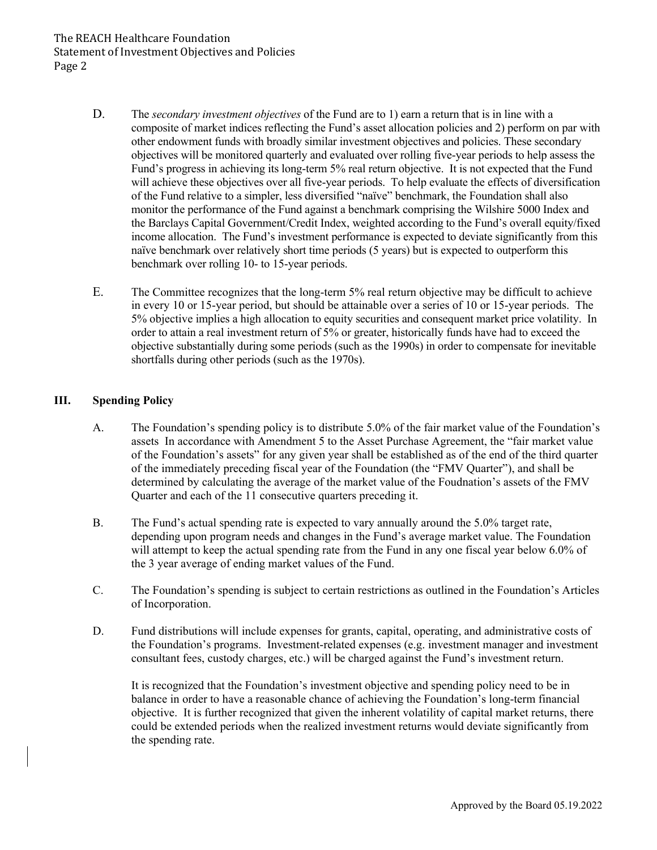### The REACH Healthcare Foundation Statement of Investment Objectives and Policies Page 2

- D. The *secondary investment objectives* of the Fund are to 1) earn a return that is in line with a composite of market indices reflecting the Fund's asset allocation policies and 2) perform on par with other endowment funds with broadly similar investment objectives and policies. These secondary objectives will be monitored quarterly and evaluated over rolling five-year periods to help assess the Fund's progress in achieving its long-term 5% real return objective. It is not expected that the Fund will achieve these objectives over all five-year periods. To help evaluate the effects of diversification of the Fund relative to a simpler, less diversified "naïve" benchmark, the Foundation shall also monitor the performance of the Fund against a benchmark comprising the Wilshire 5000 Index and the Barclays Capital Government/Credit Index, weighted according to the Fund's overall equity/fixed income allocation. The Fund's investment performance is expected to deviate significantly from this naïve benchmark over relatively short time periods (5 years) but is expected to outperform this benchmark over rolling 10- to 15-year periods.
- E. The Committee recognizes that the long-term 5% real return objective may be difficult to achieve in every 10 or 15-year period, but should be attainable over a series of 10 or 15-year periods. The 5% objective implies a high allocation to equity securities and consequent market price volatility. In order to attain a real investment return of 5% or greater, historically funds have had to exceed the objective substantially during some periods (such as the 1990s) in order to compensate for inevitable shortfalls during other periods (such as the 1970s).

#### **III. Spending Policy**

- A. The Foundation's spending policy is to distribute 5.0% of the fair market value of the Foundation's assets In accordance with Amendment 5 to the Asset Purchase Agreement, the "fair market value of the Foundation's assets" for any given year shall be established as of the end of the third quarter of the immediately preceding fiscal year of the Foundation (the "FMV Quarter"), and shall be determined by calculating the average of the market value of the Foudnation's assets of the FMV Quarter and each of the 11 consecutive quarters preceding it.
- B. The Fund's actual spending rate is expected to vary annually around the 5.0% target rate, depending upon program needs and changes in the Fund's average market value. The Foundation will attempt to keep the actual spending rate from the Fund in any one fiscal year below 6.0% of the 3 year average of ending market values of the Fund.
- C. The Foundation's spending is subject to certain restrictions as outlined in the Foundation's Articles of Incorporation.
- D. Fund distributions will include expenses for grants, capital, operating, and administrative costs of the Foundation's programs. Investment-related expenses (e.g. investment manager and investment consultant fees, custody charges, etc.) will be charged against the Fund's investment return.

It is recognized that the Foundation's investment objective and spending policy need to be in balance in order to have a reasonable chance of achieving the Foundation's long-term financial objective. It is further recognized that given the inherent volatility of capital market returns, there could be extended periods when the realized investment returns would deviate significantly from the spending rate.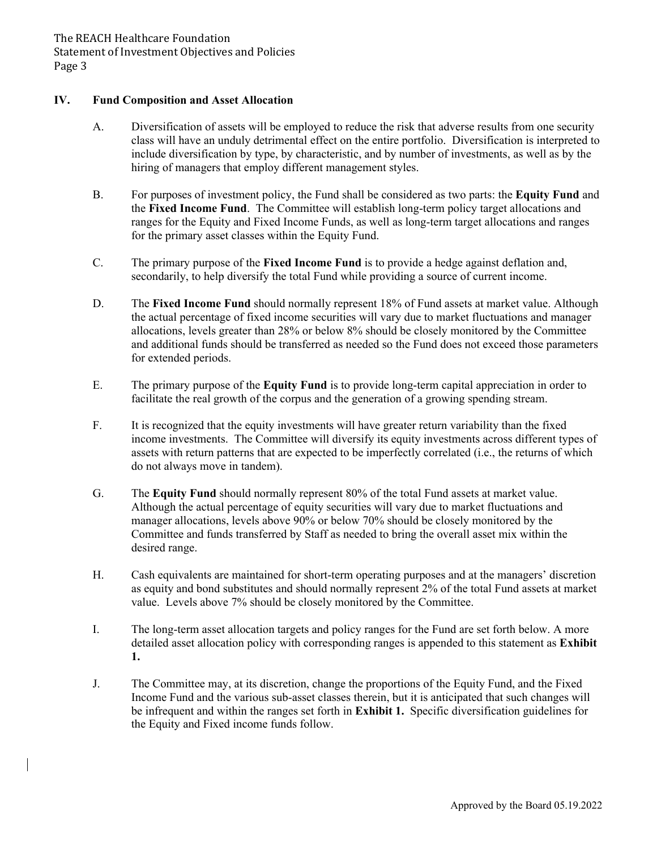#### **IV. Fund Composition and Asset Allocation**

- A. Diversification of assets will be employed to reduce the risk that adverse results from one security class will have an unduly detrimental effect on the entire portfolio. Diversification is interpreted to include diversification by type, by characteristic, and by number of investments, as well as by the hiring of managers that employ different management styles.
- B. For purposes of investment policy, the Fund shall be considered as two parts: the **Equity Fund** and the **Fixed Income Fund**. The Committee will establish long-term policy target allocations and ranges for the Equity and Fixed Income Funds, as well as long-term target allocations and ranges for the primary asset classes within the Equity Fund.
- C. The primary purpose of the **Fixed Income Fund** is to provide a hedge against deflation and, secondarily, to help diversify the total Fund while providing a source of current income.
- D. The **Fixed Income Fund** should normally represent 18% of Fund assets at market value. Although the actual percentage of fixed income securities will vary due to market fluctuations and manager allocations, levels greater than 28% or below 8% should be closely monitored by the Committee and additional funds should be transferred as needed so the Fund does not exceed those parameters for extended periods.
- E. The primary purpose of the **Equity Fund** is to provide long-term capital appreciation in order to facilitate the real growth of the corpus and the generation of a growing spending stream.
- F. It is recognized that the equity investments will have greater return variability than the fixed income investments. The Committee will diversify its equity investments across different types of assets with return patterns that are expected to be imperfectly correlated (i.e., the returns of which do not always move in tandem).
- G. The **Equity Fund** should normally represent 80% of the total Fund assets at market value. Although the actual percentage of equity securities will vary due to market fluctuations and manager allocations, levels above 90% or below 70% should be closely monitored by the Committee and funds transferred by Staff as needed to bring the overall asset mix within the desired range.
- H. Cash equivalents are maintained for short-term operating purposes and at the managers' discretion as equity and bond substitutes and should normally represent 2% of the total Fund assets at market value. Levels above 7% should be closely monitored by the Committee.
- I. The long-term asset allocation targets and policy ranges for the Fund are set forth below. A more detailed asset allocation policy with corresponding ranges is appended to this statement as **Exhibit 1.**
- J. The Committee may, at its discretion, change the proportions of the Equity Fund, and the Fixed Income Fund and the various sub-asset classes therein, but it is anticipated that such changes will be infrequent and within the ranges set forth in **Exhibit 1.** Specific diversification guidelines for the Equity and Fixed income funds follow.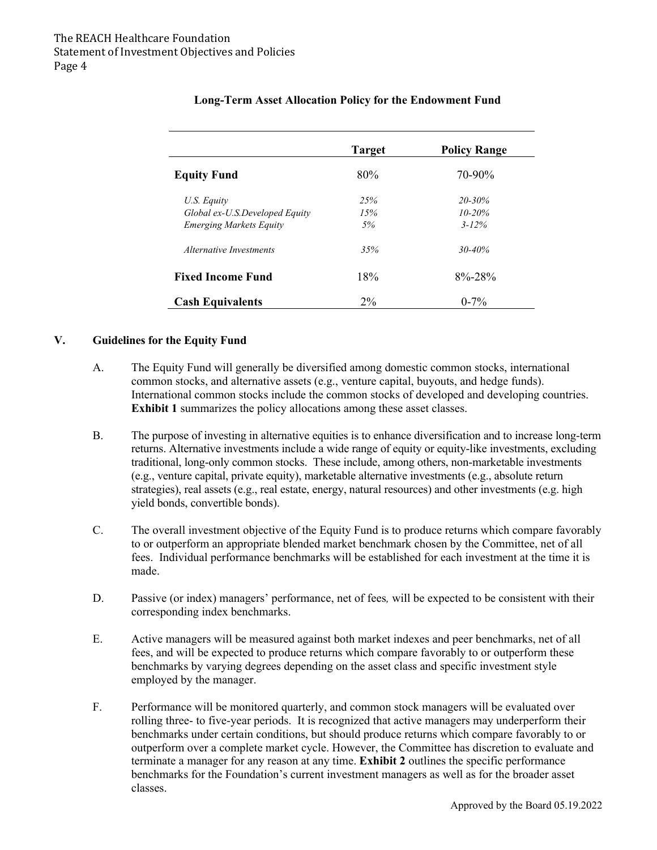|                                | <b>Target</b> | <b>Policy Range</b> |
|--------------------------------|---------------|---------------------|
| <b>Equity Fund</b>             | 80%           | 70-90%              |
| U.S. Equity                    | 25%           | $20 - 30\%$         |
| Global ex-U.S.Developed Equity | 15%           | $10 - 20%$          |
| <b>Emerging Markets Equity</b> | 5%            | $3 - 12\%$          |
| Alternative Investments        | 35%           | $30 - 40\%$         |
| <b>Fixed Income Fund</b>       | 18%           | $8\% - 28\%$        |
| <b>Cash Equivalents</b>        | $2\%$         | $0 - 7\%$           |

# **Long-Term Asset Allocation Policy for the Endowment Fund**

#### **V. Guidelines for the Equity Fund**

- A. The Equity Fund will generally be diversified among domestic common stocks, international common stocks, and alternative assets (e.g., venture capital, buyouts, and hedge funds). International common stocks include the common stocks of developed and developing countries. **Exhibit 1** summarizes the policy allocations among these asset classes.
- B. The purpose of investing in alternative equities is to enhance diversification and to increase long-term returns. Alternative investments include a wide range of equity or equity-like investments, excluding traditional, long-only common stocks. These include, among others, non-marketable investments (e.g., venture capital, private equity), marketable alternative investments (e.g., absolute return strategies), real assets (e.g., real estate, energy, natural resources) and other investments (e.g. high yield bonds, convertible bonds).
- C. The overall investment objective of the Equity Fund is to produce returns which compare favorably to or outperform an appropriate blended market benchmark chosen by the Committee, net of all fees. Individual performance benchmarks will be established for each investment at the time it is made.
- D. Passive (or index) managers' performance, net of fees*,* will be expected to be consistent with their corresponding index benchmarks.
- E. Active managers will be measured against both market indexes and peer benchmarks, net of all fees, and will be expected to produce returns which compare favorably to or outperform these benchmarks by varying degrees depending on the asset class and specific investment style employed by the manager.
- F. Performance will be monitored quarterly, and common stock managers will be evaluated over rolling three- to five-year periods. It is recognized that active managers may underperform their benchmarks under certain conditions, but should produce returns which compare favorably to or outperform over a complete market cycle. However, the Committee has discretion to evaluate and terminate a manager for any reason at any time. **Exhibit 2** outlines the specific performance benchmarks for the Foundation's current investment managers as well as for the broader asset classes.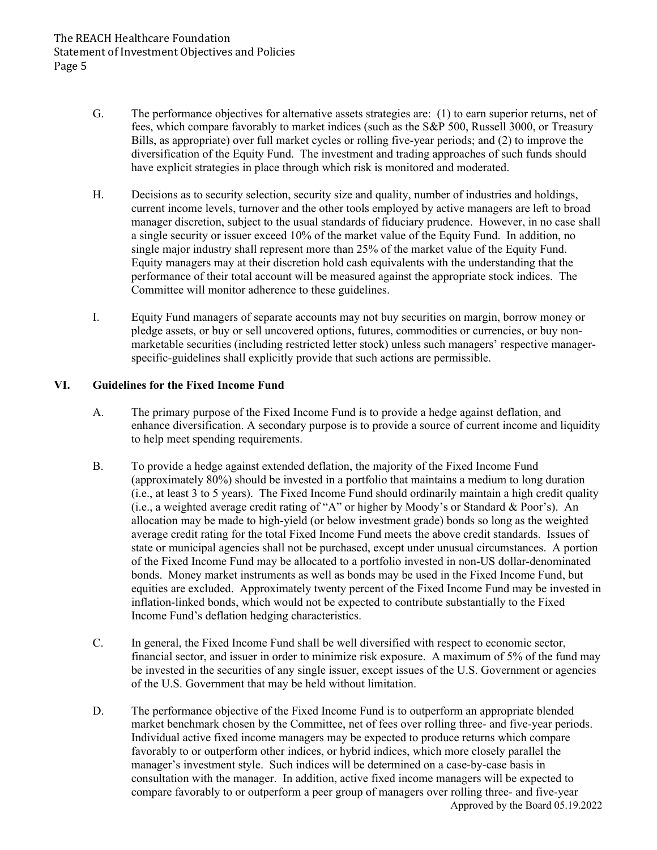- G. The performance objectives for alternative assets strategies are: (1) to earn superior returns, net of fees, which compare favorably to market indices (such as the S&P 500, Russell 3000, or Treasury Bills, as appropriate) over full market cycles or rolling five-year periods; and (2) to improve the diversification of the Equity Fund. The investment and trading approaches of such funds should have explicit strategies in place through which risk is monitored and moderated.
- H. Decisions as to security selection, security size and quality, number of industries and holdings, current income levels, turnover and the other tools employed by active managers are left to broad manager discretion, subject to the usual standards of fiduciary prudence. However, in no case shall a single security or issuer exceed 10% of the market value of the Equity Fund. In addition, no single major industry shall represent more than 25% of the market value of the Equity Fund. Equity managers may at their discretion hold cash equivalents with the understanding that the performance of their total account will be measured against the appropriate stock indices. The Committee will monitor adherence to these guidelines.
- I. Equity Fund managers of separate accounts may not buy securities on margin, borrow money or pledge assets, or buy or sell uncovered options, futures, commodities or currencies, or buy nonmarketable securities (including restricted letter stock) unless such managers' respective managerspecific-guidelines shall explicitly provide that such actions are permissible.

#### **VI. Guidelines for the Fixed Income Fund**

- A. The primary purpose of the Fixed Income Fund is to provide a hedge against deflation, and enhance diversification. A secondary purpose is to provide a source of current income and liquidity to help meet spending requirements.
- B. To provide a hedge against extended deflation, the majority of the Fixed Income Fund (approximately 80%) should be invested in a portfolio that maintains a medium to long duration (i.e., at least 3 to 5 years). The Fixed Income Fund should ordinarily maintain a high credit quality (i.e., a weighted average credit rating of "A" or higher by Moody's or Standard & Poor's). An allocation may be made to high-yield (or below investment grade) bonds so long as the weighted average credit rating for the total Fixed Income Fund meets the above credit standards. Issues of state or municipal agencies shall not be purchased, except under unusual circumstances. A portion of the Fixed Income Fund may be allocated to a portfolio invested in non-US dollar-denominated bonds. Money market instruments as well as bonds may be used in the Fixed Income Fund, but equities are excluded. Approximately twenty percent of the Fixed Income Fund may be invested in inflation-linked bonds, which would not be expected to contribute substantially to the Fixed Income Fund's deflation hedging characteristics.
- C. In general, the Fixed Income Fund shall be well diversified with respect to economic sector, financial sector, and issuer in order to minimize risk exposure. A maximum of 5% of the fund may be invested in the securities of any single issuer, except issues of the U.S. Government or agencies of the U.S. Government that may be held without limitation.
- Approved by the Board 05.19.2022 D. The performance objective of the Fixed Income Fund is to outperform an appropriate blended market benchmark chosen by the Committee, net of fees over rolling three- and five-year periods. Individual active fixed income managers may be expected to produce returns which compare favorably to or outperform other indices, or hybrid indices, which more closely parallel the manager's investment style. Such indices will be determined on a case-by-case basis in consultation with the manager. In addition, active fixed income managers will be expected to compare favorably to or outperform a peer group of managers over rolling three- and five-year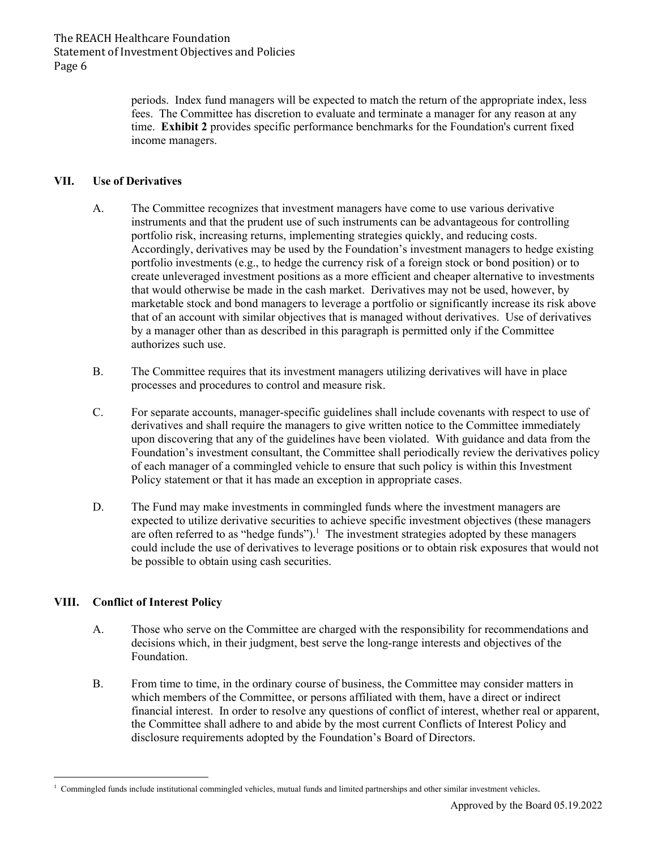periods. Index fund managers will be expected to match the return of the appropriate index, less fees. The Committee has discretion to evaluate and terminate a manager for any reason at any time. **Exhibit 2** provides specific performance benchmarks for the Foundation's current fixed income managers.

#### **VII. Use of Derivatives**

- A. The Committee recognizes that investment managers have come to use various derivative instruments and that the prudent use of such instruments can be advantageous for controlling portfolio risk, increasing returns, implementing strategies quickly, and reducing costs. Accordingly, derivatives may be used by the Foundation's investment managers to hedge existing portfolio investments (e.g., to hedge the currency risk of a foreign stock or bond position) or to create unleveraged investment positions as a more efficient and cheaper alternative to investments that would otherwise be made in the cash market. Derivatives may not be used, however, by marketable stock and bond managers to leverage a portfolio or significantly increase its risk above that of an account with similar objectives that is managed without derivatives. Use of derivatives by a manager other than as described in this paragraph is permitted only if the Committee authorizes such use.
- B. The Committee requires that its investment managers utilizing derivatives will have in place processes and procedures to control and measure risk.
- C. For separate accounts, manager-specific guidelines shall include covenants with respect to use of derivatives and shall require the managers to give written notice to the Committee immediately upon discovering that any of the guidelines have been violated. With guidance and data from the Foundation's investment consultant, the Committee shall periodically review the derivatives policy of each manager of a commingled vehicle to ensure that such policy is within this Investment Policy statement or that it has made an exception in appropriate cases.
- D. The Fund may make investments in commingled funds where the investment managers are expected to utilize derivative securities to achieve specific investment objectives (these managers are often referred to as "hedge funds").<sup>1</sup> The investment strategies adopted by these managers could include the use of derivatives to leverage positions or to obtain risk exposures that would not be possible to obtain using cash securities.

### **VIII. Conflict of Interest Policy**

- A. Those who serve on the Committee are charged with the responsibility for recommendations and decisions which, in their judgment, best serve the long-range interests and objectives of the Foundation.
- B. From time to time, in the ordinary course of business, the Committee may consider matters in which members of the Committee, or persons affiliated with them, have a direct or indirect financial interest. In order to resolve any questions of conflict of interest, whether real or apparent, the Committee shall adhere to and abide by the most current Conflicts of Interest Policy and disclosure requirements adopted by the Foundation's Board of Directors.

<sup>&</sup>lt;sup>1</sup> Commingled funds include institutional commingled vehicles, mutual funds and limited partnerships and other similar investment vehicles.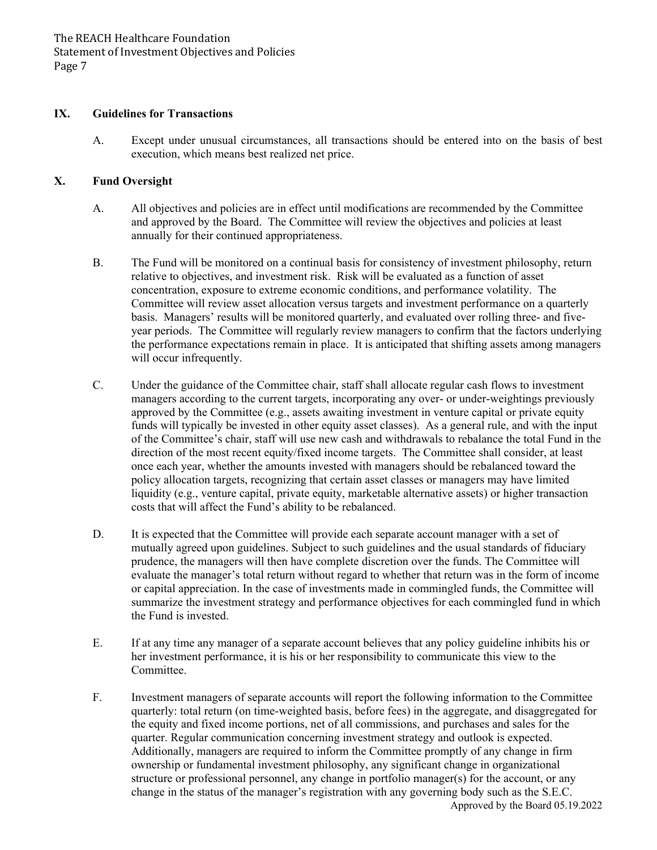#### **IX. Guidelines for Transactions**

A. Except under unusual circumstances, all transactions should be entered into on the basis of best execution, which means best realized net price.

#### **X. Fund Oversight**

- A. All objectives and policies are in effect until modifications are recommended by the Committee and approved by the Board. The Committee will review the objectives and policies at least annually for their continued appropriateness.
- B. The Fund will be monitored on a continual basis for consistency of investment philosophy, return relative to objectives, and investment risk. Risk will be evaluated as a function of asset concentration, exposure to extreme economic conditions, and performance volatility. The Committee will review asset allocation versus targets and investment performance on a quarterly basis. Managers' results will be monitored quarterly, and evaluated over rolling three- and fiveyear periods. The Committee will regularly review managers to confirm that the factors underlying the performance expectations remain in place. It is anticipated that shifting assets among managers will occur infrequently.
- C. Under the guidance of the Committee chair, staff shall allocate regular cash flows to investment managers according to the current targets, incorporating any over- or under-weightings previously approved by the Committee (e.g., assets awaiting investment in venture capital or private equity funds will typically be invested in other equity asset classes). As a general rule, and with the input of the Committee's chair, staff will use new cash and withdrawals to rebalance the total Fund in the direction of the most recent equity/fixed income targets. The Committee shall consider, at least once each year, whether the amounts invested with managers should be rebalanced toward the policy allocation targets, recognizing that certain asset classes or managers may have limited liquidity (e.g., venture capital, private equity, marketable alternative assets) or higher transaction costs that will affect the Fund's ability to be rebalanced.
- D. It is expected that the Committee will provide each separate account manager with a set of mutually agreed upon guidelines. Subject to such guidelines and the usual standards of fiduciary prudence, the managers will then have complete discretion over the funds. The Committee will evaluate the manager's total return without regard to whether that return was in the form of income or capital appreciation. In the case of investments made in commingled funds, the Committee will summarize the investment strategy and performance objectives for each commingled fund in which the Fund is invested.
- E. If at any time any manager of a separate account believes that any policy guideline inhibits his or her investment performance, it is his or her responsibility to communicate this view to the Committee.
- Approved by the Board 05.19.2022 F. Investment managers of separate accounts will report the following information to the Committee quarterly: total return (on time-weighted basis, before fees) in the aggregate, and disaggregated for the equity and fixed income portions, net of all commissions, and purchases and sales for the quarter. Regular communication concerning investment strategy and outlook is expected. Additionally, managers are required to inform the Committee promptly of any change in firm ownership or fundamental investment philosophy, any significant change in organizational structure or professional personnel, any change in portfolio manager(s) for the account, or any change in the status of the manager's registration with any governing body such as the S.E.C.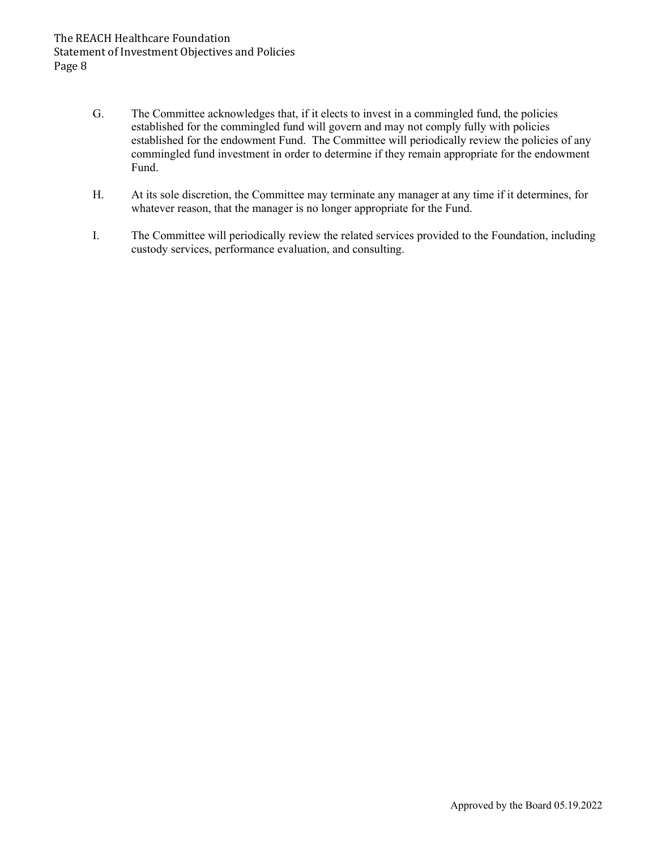- G. The Committee acknowledges that, if it elects to invest in a commingled fund, the policies established for the commingled fund will govern and may not comply fully with policies established for the endowment Fund. The Committee will periodically review the policies of any commingled fund investment in order to determine if they remain appropriate for the endowment Fund.
- H. At its sole discretion, the Committee may terminate any manager at any time if it determines, for whatever reason, that the manager is no longer appropriate for the Fund.
- I. The Committee will periodically review the related services provided to the Foundation, including custody services, performance evaluation, and consulting.